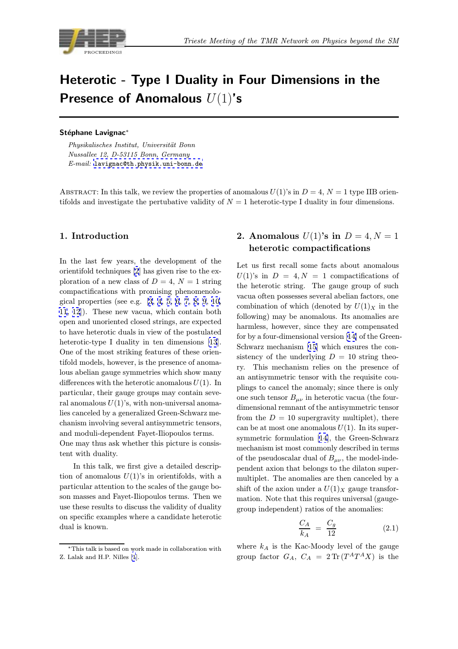<span id="page-0-0"></span>

# $H(t)$  - Type  $T = u m t$ ,  $T(t)$ ,  $T(t)$ Presence of Anomalous  $U(1)$ 's

#### Stéphane Lavignac<sup>∗</sup>

Physikalisches Institut, Universität Bonn Nussallee 12, D-53115 Bonn, Germany E-mail: lavignac@th.physik.uni-bonn.de

ABSTRACT: In this talk, we review the properties of anomalous  $U(1)$ 's in  $D=4$ ,  $N=1$  type IIB orientifolds an[d investigate the pertubative valid](mailto:lavignac@th.physik.uni-bonn.de)ity of  $N = 1$  heterotic-type I duality in four dimensions.

#### 1. Introduction

In the last few years, the development of the orientifold techniques [2] has given rise to the exploration of a new class of  $D = 4$ ,  $N = 1$  string compactifications with promising phenomenological properties (see e.g. [3, 4, 5, 6, 7, 8, 9, 10, 11, 12]). These new [va](#page-6-0)cua, which contain both open and unoriented closed strings, are expected to have heterotic duals in view of the postulated heterotic-type I duality i[n](#page-6-0) t[en d](#page-6-0)i[m](#page-6-0)e[ns](#page-6-0)i[ons](#page-6-0) [[13\].](#page-6-0) [One of](#page-6-0) the most striking features of these orientifold models, however, is the presence of anomalous abelian gauge symmetries which show many differences with the heterotic anomalous  $U(1)$ [. I](#page-6-0)n particular, their gauge groups may contain several anomalous  $U(1)$ 's, with non-universal anomalies canceled by a generalized Green-Schwarz mechanism involving several antisymmetric tensors, and moduli-dependent Fayet-Iliopoulos terms. One may thus ask whether this picture is consistent with duality.

In this talk, we first give a detailed description of anomalous  $U(1)$ 's in orientifolds, with a particular attention to the scales of the gauge boson masses and Fayet-Iliopoulos terms. Then we use these results to discuss the validity of duality on specific examples where a candidate heterotic dual is known.

# **2.** Anomalous  $U(1)$ 's in  $D = 4, N = 1$ heterotic compactifications

Let us first recall some facts about anomalous  $U(1)$ 's in  $D = 4, N = 1$  compactifications of the heterotic string. The gauge group of such vacua often possesses several abelian factors, one combination of which (denoted by  $U(1)_X$  in the following) may be anomalous. Its anomalies are harmless, however, since they are compensated for by a four-dimensional version [14] of the Green-Schwarz mechanism [15] which ensures the consistency of the underlying  $D = 10$  string theory. This mechanism relies on the presence of an antisymmetric tensor with th[e r](#page-6-0)equisite couplings to cancel the [ano](#page-6-0)maly; since there is only one such tensor  $B_{\mu\nu}$  in heterotic vacua (the fourdimensional remnant of the antisymmetric tensor from the  $D = 10$  supergravity multiplet), there can be at most one anomalous  $U(1)$ . In its supersymmetric formulation [14], the Green-Schwarz mechanism ist most commonly described in terms of the pseudoscalar dual of  $B_{\mu\nu}$ , the model-independent axion that belongs to the dilaton supermultiplet. The anomalie[s a](#page-6-0)re then canceled by a shift of the axion under a  $U(1)_X$  gauge transformation. Note that this requires universal (gaugegroup independent) ratios of the anomalies:

$$
\frac{C_A}{k_A} = \frac{C_g}{12} \tag{2.1}
$$

where  $k_A$  is the Kac-Moody level of the gauge<br>
space  $C_{\text{tot}} = 2 \text{Tr} (T A T A V)$  is the group factor  $G_A$ ,  $C_A = 2 \text{Tr} (T^A T^A X)$  is the

<sup>∗</sup>This talk is based on work made in collaboration with Z. Lalak and H.P. Nilles [1].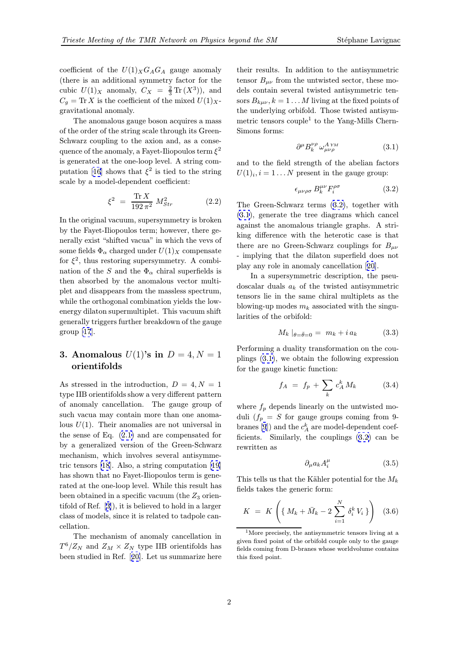<span id="page-1-0"></span>coefficient of the  $U(1)_XG_AG_A$  gauge anomaly (there is an additional symmetry factor for the cubic  $U(1)_X$  anomaly,  $C_X = \frac{2}{3} \text{Tr}(X^3)$ , and  $C = \text{Tr } X$  is the scafficient of the mixed  $U(1)$  $C_g = \text{Tr } X$  is the coefficient of the mixed  $U(1)_X$ gravitational anomaly.

The anomalous gauge boson acquires a mass of the order of the string scale through its Green-Schwarz coupling to the axion and, as a consequence of the anomaly, a Fayet-Iliopoulos term  $\xi^2$ is generated at the one-loop level. A string computation [16] shows that  $\xi^2$  is tied to the string scale by a model-dependent coefficient:

$$
\xi^2 = \frac{\text{Tr} X}{192 \pi^2} M_{Str}^2 \tag{2.2}
$$

In the original vacuum, supersymmetry is broken by the Fayet-Iliopoulos term; however, there generally exist "shifted vacua" in which the vevs of some fields  $\Phi_{\alpha}$  charged under  $U(1)_X$  compensate for  $\xi^2$ , thus restoring supersymmetry. A combination of the S and the  $\Phi_{\alpha}$  chiral superfields is then absorbed by the anomalous vector multiplet and disappears from the massless spectrum, while the orthogonal combination yields the lowenergy dilaton supermultiplet. This vacuum shift generally triggers further breakdown of the gauge group [17].

## **3. Anomalous**  $U(1)$ 's in  $D = 4, N = 1$ or[ien](#page-7-0)tifolds

As stressed in the introduction,  $D = 4, N = 1$ type IIB orientifolds show a very different pattern of anomaly cancellation. The gauge group of such vacua may contain more than one anomalous  $U(1)$ . Their anomalies are not universal in the sense of Eq. (2.1) and are compensated for by a generalized version of the Green-Schwarz mechanism, which involves several antisymmetric tensors [18]. Also, a string computation [19] has shown that no [Fay](#page-0-0)et-Iliopoulos term is generated at the one-loop level. While this result has been obtained in a specific vacuum (the  $Z_3$  orientifold of Ref. [\[3](#page-7-0)]), it is believed to hold in a lar[ger](#page-7-0) class of models, since it is related to tadpole cancellation.

The mec[ha](#page-6-0)nism of anomaly cancellation in  $T^6/Z_N$  and  $Z_M \times Z_N$  type IIB orientifolds has been studied in Ref. [20]. Let us summarize here

their results. In addition to the antisymmetric tensor  $B_{\mu\nu}$  from the untwisted sector, these models contain several twisted antisymmetric tensors  $B_{k\mu\nu}$ ,  $k = 1 \dots M$  living at the fixed points of the underlying orbifold. Those twisted antisymmetric tensors couple<sup>1</sup> to the Yang-Mills Chern-Simons forms:

$$
\partial^{\mu} B_{k}^{\nu \rho} \omega_{\mu \nu \rho}^{A \gamma_M} \tag{3.1}
$$

and to the field strength of the abelian factors  $U(1)<sub>i</sub>, i = 1...N$  present in the gauge group:

$$
\epsilon_{\mu\nu\rho\sigma} B_k^{\mu\nu} F_i^{\rho\sigma} \tag{3.2}
$$

The Green-Schwarz terms (3.2), together with (3.1), generate the tree diagrams which cancel against the anomalous triangle graphs. A striking difference with the heterotic case is that there are no Green-Schwarz couplings for  $B_{\mu\nu}$ - implying that the dilaton superfield does not play any role in anomaly cancellation [20].

In a supersymmetric description, the pseudoscalar duals  $a_k$  of the twisted antisymmetric tensors lie in the same chiral multiplets as the blowing-up modes  $m_k$  associated with [the](#page-7-0) singularities of the orbifold:

$$
M_k \mid_{\theta = \bar{\theta} = 0} = m_k + i a_k \tag{3.3}
$$

Performing a duality transformation on the couplings (3.1), we obtain the following expression for the gauge kinetic function:

$$
f_A = f_p + \sum_k c_A^k M_k \tag{3.4}
$$

where  $f_p$  depends linearly on the untwisted moduli  $(f_p = S$  for gauge groups coming from 9branes [9]) and the  $c_A^k$  are model-dependent coef-<br> $f_{\text{e}}(2, 2)$  are help in the couplings (2.2) can be ficients. Similarly, the couplings (3.2) can be rewritten as

$$
\partial_{\mu} a_k A_i^{\mu} \tag{3.5}
$$

This tells us that the Kähler potential for the  $M_k$ fields takes the generic form:

$$
K = K \left( \{ M_k + \bar{M}_k - 2 \sum_{i=1}^N \delta_i^k V_i \} \right) \quad (3.6)
$$

<sup>&</sup>lt;sup>1</sup>More precisely, the antisymmetric tensors living at a given fixed point of the orbifold couple only to the gauge fields coming from D-branes whose worldvolume contains this fixed point.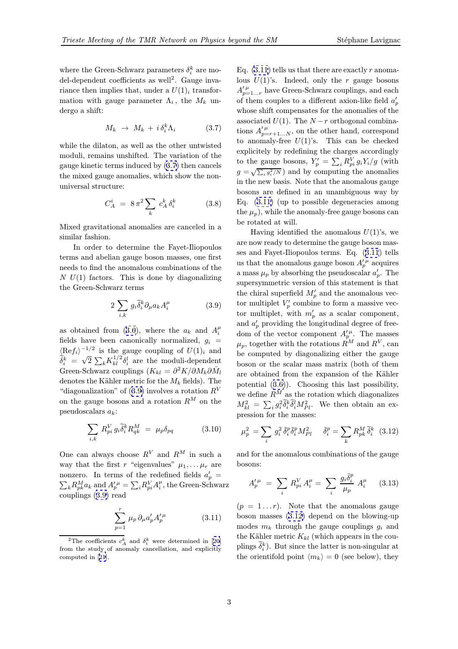<span id="page-2-0"></span>where the Green-Schwarz parameters  $\delta_i^k$  are mo-<br>del dependent each signal cannot be well<sup>2</sup>. Gauss into del-dependent coefficients as well<sup>2</sup>. Gauge invariance then implies that, under a  $U(1)_i$  transformation with gauge parameter  $\Lambda_i$ , the  $M_k$  undergo a shift:

$$
M_k \to M_k + i \,\delta_i^k \Lambda_i \tag{3.7}
$$

while the dilaton, as well as the other untwisted moduli, remains unshifted. The variation of the gauge kinetic terms induced by (3.7) then cancels the mixed gauge anomalies, which show the nonuniversal structure:

$$
C_A^i \ = \ 8\,\pi^2 \sum_k \ c_A^k \ \delta_i^k \qquad \qquad (3.8)
$$

Mixed gravitational anomalies are canceled in a similar fashion.

In order to determine the Fayet-Iliopoulos terms and abelian gauge boson masses, one first needs to find the anomalous combinations of the  $N$   $U(1)$  factors. This is done by diagonalizing the Green-Schwarz terms

$$
2\sum_{i,k} g_i \tilde{\delta}_i^k \partial_\mu a_k A_i^\mu \tag{3.9}
$$

as obtained from (3.6), where the  $a_k$  and  $A_i^{\mu}$ fields have been canonically normalized,  $g_i =$ <br> $\sqrt{R_0} f_i = 1/2$  is the gauge coupling of  $U(1)$ , and  $\langle \text{Re} f_i \rangle^{-1/2}$  is the gauge coupling of  $U(1)_i$  and  $\delta_i^* = \sqrt{2} \sum_k \mathbf{K}_{ki} \delta_i^*$  are the moduli-dependent<br>Green-Schwarz cou[plin](#page-1-0)gs  $(K_{kl} = \partial^2 K / \partial M_k \partial \bar{M}_l^*$  $\delta_k^k = \sqrt{2} \sum_k K_{kl}^{1/2} \delta_i^l$  are the moduli-dependent<br>Creep Sebwarz semiings  $(K - \partial^2 K/\partial M) \partial \overline{M}$ denotes the Kähler metric for the  $M_k$  fields). The "diagonalization" of (3.9) involves a rotation  $R^V$ on the gauge bosons and a rotation  $R^M$  on the pseudoscalars  $a_k$ :

$$
\sum_{i,k} R_{pi}^V g_i \tilde{\delta}_i^k R_{qk}^M = \mu_p \delta_{pq} \tag{3.10}
$$

One can always choose  $R^V$  and  $R^M$  in such a way that the first r "eigenvalues"  $\mu_1, \ldots, \mu_r$  are nonzero. In terms of the redefined fields  $a'_p =$ nonzero. In terms of the redefined fields  $a'_p = \sum_{i} R_{n}^V a_i a_k$  and  $A'_p{}^p = \sum_{i} R_{n}^V A_i^p$ , the Green-Schwa  ${}_{k}R_{pk}^{M}a_{k}$  and  $A_{p}^{\prime \mu} = \sum_{i} R_{pi}^{V} A_{i}^{\mu}$ , the Green-Schwarz couplings (3.9) read

$$
\sum_{p=1}^{r} \mu_p \, \partial_\mu a'_p A'^{\mu}_p \tag{3.11}
$$

Eq.  $(3.11)$  tells us that there are exactly r anomalous  $U(1)$ 's. Indeed, only the r gauge bosons  $A_{p=1...r}^{\prime\mu}$  have Green-Schwarz couplings, and each  $A_{p=1}^{\prime}$  then couples to a different evien like field  $a_{p}^{\prime}$ of them couples to a different axion-like field  $a'_p$ whose shift compensates for the anomalies of the associated  $U(1)$ . The  $N-r$  orthogonal combinations  $A_{p=r+1...N}^{\prime \mu}$ , on the other hand, correspond<br>the approach free  $U(1)$ 's This can be sheded to anomaly-free  $U(1)$ 's. This can be checked explicitely by redefining the charges accordingly to the gauge bosons,  $Y'_p = \sum_i R_{pi}^V g_i Y_i / g$  (with  $g = \sqrt{\sum_i g_i^2/N}$  and by computing the anomalies<br>in the now begin. Note that the anomalies in the new basis. Note that the anomalous gauge bosons are defined in an unambiguous way by Eq. (3.11) (up to possible degeneracies among the  $\mu_p$ ), while the anomaly-free gauge bosons can be rotated at will.

Having identified the anomalous  $U(1)$ 's, we are now ready to determine the gauge boson masses and Fayet-Iliopoulos terms. Eq. (3.11) tells us that the anomalous gauge boson  $A_p^{\prime \mu}$  acquires<br>a mass  $\mu$  by absorbing the pseudoscalar  $a'$ . The a mass  $\mu_p$  by absorbing the pseudoscalar  $a'_p$ . The supersymmetric version of this statement is that the chiral superfield  $M_p'$  and the anomalous vec-<br>term ultiplet  $V'$  combine to form a massive vector multiplet  $V'_p$  combine to form a massive vec-<br>top multiplet with  $m'$  as a scalar component tor multiplet, with  $m'_p$  as a scalar component, and  $a'_p$  providing the longitudinal degree of free-<br>dom of the vector component  $A'^\mu$ . The masses dom of the vector component  $A_p^{\prime \mu}$ . The masses<br>u together with the retations  $P^M$  and  $P^V$  can  $\mu_p$ , together with the rotations  $R^M$  and  $R^V$ , can be computed by diagonalizing either the gauge boson or the scalar mass matrix (both of them are obtained from the expansion of the Kähler potential (3.6)). Choosing this last possibility, we define  $R^M$  as the rotation which diagonalizes  $M_{kl}^2 = \sum_i g_i^2 \tilde{\delta}_i^k \tilde{\delta}_i^l M_{Pl}^2$ . We then obtain an ex- $\sum_{i} S_i \cdot i \cdot i \cdot P_i$ <b[r](#page-1-0)>pression for [th](#page-1-0)e masses:

$$
\mu_p^2 = \sum_i g_i^2 \,\bar{\delta}_i^p \bar{\delta}_i^p M_{Pl}^2 \quad \bar{\delta}_i^p = \sum_k R_{pk}^M \,\tilde{\delta}_i^k \quad (3.12)
$$

and for the anomalous combinations of the gauge bosons:

$$
A_p^{\prime \mu} = \sum_i R_{pi}^V A_i^{\mu} = \sum_i \frac{g_i \bar{\delta}_i^p}{\mu_p} A_i^{\mu} \qquad (3.13)
$$

 $(p = 1...r)$ . Note that the anomalous gauge boson masses (3.12) depend on the blowing-up modes  $m_k$  through the gauge couplings  $g_i$  and the Kähler metric  $K_{kl}$  (which appears in the couplings  $\delta_i^k$ ). But since the latter is non-singular at<br>the orientifold point  $\langle m \rangle = 0$  (see below), they the orientifold point  $\langle m_k \rangle = 0$  (see below), they

<sup>&</sup>lt;sup>2</sup>The coefficients  $c_A^k$  and  $\delta_i^k$  were determined in [20] from the study of anomaly cancellation, and explicitly computed in [21].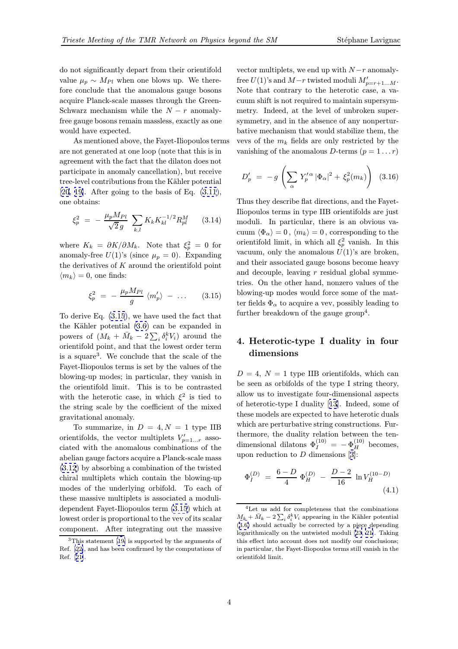do not significantly depart from their orientifold value  $\mu_p \sim M_{Pl}$  when one blows up. We therefore conclude that the anomalous gauge bosons acquire Planck-scale masses through the Green-Schwarz mechanism while the  $N - r$  anomalyfree gauge bosons remain massless, exactly as one would have expected.

As mentioned above, the Fayet-Iliopoulos terms are not generated at one loop (note that this is in agreement with the fact that the dilaton does not participate in anomaly cancellation), but receive tree-level contributions from the Kähler potential [20, 19]. After going to the basis of Eq.  $(3.11)$ , one obtains:

$$
\xi_p^2 = -\frac{\mu_p M_{Pl}}{\sqrt{2}g} \sum_{k,l} K_k K_{kl}^{-1/2} R_{pl}^M \qquad (3.14)
$$

where  $K_k = \partial K / \partial M_k$ . Note that  $\xi_p^2 = 0$  for<br>paramely free  $U(1)$ 's (since  $\mu_p = 0$ ). Expanding anomaly-free  $U(1)$ 's (since  $\mu_n = 0$ ). Expanding the derivatives of  $K$  around the orientifold point  $\langle m_k \rangle = 0$ , one finds:

$$
\xi_p^2 = -\frac{\mu_p M_{Pl}}{g} \langle m'_p \rangle - \dots \qquad (3.15)
$$

To derive Eq. (3.15), we have used the fact that the Kähler potential  $(3.6)$  can be expanded in powers of  $(M_k + \bar{M}_k - 2\sum_i \delta_i^k V_i)$  around the orientifold point, and that the lowest order term is a square<sup>3</sup>. We conclude that the scale of the Fayet-Iliopoulos terms [is s](#page-1-0)et by the values of the blowing-up modes; in particular, they vanish in the orientifold limit. This is to be contrasted with the heterotic case, in which  $\xi^2$  is tied to the string scale by the coefficient of the mixed gravitational anomaly.

To summarize, in  $D = 4, N = 1$  type IIB orientifolds, the vector multiplets  $V'_{p=1...r}$  asso-<br>gioted with the anomalous combinations of the ciated with the anomalous combinations of the abelian gauge factors acquire a Planck-scale mass (3.12) by absorbing a combination of the twisted chiral multiplets which contain the blowing-up modes of the underlying orbifold. To each of these massive multiplets is associated a moduli[depen](#page-2-0)dent Fayet-Iliopoulos term (3.15) which at lowest order is proportional to the vev of its scalar component. After integrating out the massive

vector multiplets, we end up with  $N-r$  anomalyfree  $U(1)$ 's and  $M-r$  twisted moduli  $M'_{p=r+1...M}$ .<br>Note that contrary to the hoteration association Note that contrary to the heterotic case, a vacuum shift is not required to maintain supersymmetry. Indeed, at the level of unbroken supersymmetry, and in the absence of any nonperturbative mechanism that would stabilize them, the vevs of the  $m_k$  fields are only restricted by the vanishing of the anomalous D-terms  $(p = 1 \dots r)$ 

$$
D'_p = -g\left(\sum_{\alpha} Y'_p{}^{\alpha} |\Phi_{\alpha}|^2 + \xi_p^2(m_k)\right) (3.16)
$$

Thus they describe flat directions, and the Fayet-Iliopoulos terms in type IIB orientifolds are just moduli. In particular, there is an obvious vacuum  $\langle \Phi_{\alpha} \rangle = 0$ ,  $\langle m_k \rangle = 0$ , corresponding to the orientifold limit, in which all  $\xi_p^2$  vanish. In this<br>program only the anomalous  $U(1)$ 's are husban vacuum, only the anomalous  $U(1)$ 's are broken, and their associated gauge bosons become heavy and decouple, leaving r residual global symmetries. On the other hand, nonzero values of the blowing-up modes would force some of the matter fields  $\Phi_{\alpha}$  to acquire a vev, possibly leading to further breakdown of the gauge group<sup>4</sup>.

## 4. Heterotic-type I duality in four dimensions

 $D = 4$ ,  $N = 1$  type IIB orientifolds, which can be seen as orbifolds of the type I string theory, allow us to investigate four-dimensional aspects of heterotic-type I duality [13]. Indeed, some of these models are expected to have heterotic duals which are perturbative string constructions. Furthermore, the duality relation between the tendimensional dilatons  $\Phi_I^{(10)} = -\Phi_H^{(10)}$  $\Phi_I^{(10)} = -\Phi_H^{(10)}$  $\Phi_I^{(10)} = -\Phi_H^{(10)}$  becomes, upon reduction to  $D$  dimensions [3]:

$$
\Phi_I^{(D)} = \frac{6 - D}{4} \Phi_H^{(D)} - \frac{D - 2}{16} \ln V_H^{(10 - D)}
$$
\n(4.1)

<sup>3</sup>This statement [19] is supported by the arguments of Ref. [22], and has been confirmed by the computations of Ref. [21].

<sup>4</sup>Let us add for completeness that the combinations  $M_k + \bar{M}_k - 2 \sum_i \delta_i^k V_i$  appearing in the Kähler potential (3.6) should actually be corrected by a piece depending logarithmically on the untwisted moduli [23, 21]. Taking this effect into account does not modify our conclusions; in particular, the Fayet-Iliopoulos terms still vanish in the [orien](#page-1-0)tifold limit.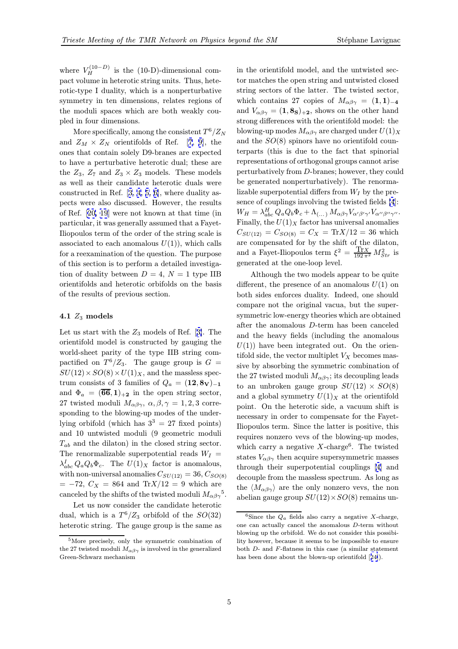where  $V_H^{(10-D)}$  is the (10-D)-dimensional com-<br>next volume in heterotic string units. Thus hete pact volume in heterotic string units. Thus, heterotic-type I duality, which is a nonperturbative symmetry in ten dimensions, relates regions of the moduli spaces which are both weakly coupled in four dimensions.

More specifically, among the consistent  $T^6/Z_N$ and  $Z_M \times Z_N$  orientifolds of Ref. [7, 9], the ones that contain solely D9-branes are expected to have a perturbative heterotic dual; these are the  $Z_3$ ,  $Z_7$  and  $Z_3 \times Z_3$  models. These models as well as their candidate heterotic [du](#page-6-0)a[ls](#page-6-0) were constructed in Ref. [3, 4, 5, 6], where duality aspects were also discussed. However, the results of Ref. [20, 19] were not known at that time (in particular, it was generally assumed that a Fayet-Iliopoulos term of t[he](#page-6-0) [order o](#page-6-0)f the string scale is associated to each anomalous  $U(1)$ , which calls for a ree[xamina](#page-7-0)tion of the question. The purpose of this section is to perform a detailed investigation of duality between  $D = 4$ ,  $N = 1$  type IIB orientifolds and heterotic orbifolds on the basis of the results of previous section.

#### 4.1  $Z_3$  models

Let us start with the  $Z_3$  models of Ref. [3]. The orientifold model is constructed by gauging the world-sheet parity of the type IIB string compactified on  $T^6/Z_3$ . The gauge group is  $G =$  $SU(12) \times SO(8) \times U(1)_X$ , and the ma[ss](#page-6-0)less spectrum consists of 3 families of  $Q_a = (12, 8<sub>V</sub>)_{-1}$ and  $\Phi_a = (\overline{66}, 1)_{+2}$  in the open string sector, 27 twisted moduli  $M_{\alpha\beta\gamma}$ ,  $\alpha, \beta, \gamma = 1, 2, 3$  corresponding to the blowing-up modes of the underlying orbifold (which has  $3^3 = 27$  fixed points) and 10 untwisted moduli (9 geometric moduli  $T_{ab}$  and the dilaton) in the closed string sector. The renormalizable superpotential reads  $W_I =$  $\lambda_{abc}^I Q_a Q_b \Phi_c$ . The  $U(1)_X$  factor is anomalous, with non-universal anomalies  $C_{SU(12)} = 36, C_{SO(8)}$  $= -72, C_X = 864$  and Tr $X/12 = 9$  which are canceled by the shifts of the twisted moduli  $M_{\alpha\beta\gamma}^{\qquad5}$ .

Let us now consider the candidate heterotic dual, which is a  $T^6/Z_3$  orbifold of the  $SO(32)$ heterotic string. The gauge group is the same as

in the orientifold model, and the untwisted sector matches the open string and untwisted closed string sectors of the latter. The twisted sector, which contains 27 copies of  $M_{\alpha\beta\gamma} = (1,1)_{-4}$ and  $V_{\alpha\beta\gamma} = (1, 8_S)_{+2}$ , shows on the other hand strong differences with the orientifold model: the blowing-up modes  $M_{\alpha\beta\gamma}$  are charged under  $U(1)_X$ and the  $SO(8)$  spinors have no orientifold counterparts (this is due to the fact that spinorial representations of orthogonal groups cannot arise perturbatively from D-branes; however, they could be generated nonperturbatively). The renormalizable superpotential differs from  $W_I$  by the presence of couplings involving the twisted fields [4]:  $W_H = \lambda_{abc}^H Q_a Q_b \Phi_c + \Lambda_{(...)} M_{\alpha\beta\gamma} V_{\alpha'\beta'\gamma'} V_{\alpha''\beta''\gamma''}.$ <br>Finally, the  $U(1)$  factor has universed approximately Finally, the  $U(1)_X$  factor has universal anomalies  $C_{SU(12)} = C_{SO(8)} = C_X = \text{Tr} X/12 = 36$  which are compensated for by the shift of the dilat[on](#page-6-0), and a Fayet-Iliopoulos term  $\xi^2 = \frac{\text{Tr}X}{192 \pi^2} M_{Str}^2$  is<br>generated at the one loop layel generated at the one-loop level.

Although the two models appear to be quite different, the presence of an anomalous  $U(1)$  on both sides enforces duality. Indeed, one should compare not the original vacua, but the supersymmetric low-energy theories which are obtained after the anomalous D-term has been canceled and the heavy fields (including the anomalous  $U(1)$  have been integrated out. On the orientifold side, the vector multiplet  $V_X$  becomes massive by absorbing the symmetric combination of the 27 twisted moduli  $M_{\alpha\beta\gamma}$ ; its decoupling leads to an unbroken gauge group  $SU(12) \times SO(8)$ and a global symmetry  $U(1)_X$  at the orientifold point. On the heterotic side, a vacuum shift is necessary in order to compensate for the Fayet-Iliopoulos term. Since the latter is positive, this requires nonzero vevs of the blowing-up modes, which carry a negative  $X$ -charge<sup>6</sup>. The twisted states  $V_{\alpha\beta\gamma}$  then acquire supersymmetric masses through their superpotential couplings [4] and decouple from the massless spectrum. As long as the  $\langle M_{\alpha\beta\gamma}\rangle$  are the only nonzero vevs, the non abelian gauge group  $SU(12) \times SO(8)$  rema[in](#page-6-0)s un-

<sup>&</sup>lt;sup>5</sup>More precisely, only the symmetric combination of the 27 twisted moduli  $M_{\alpha\beta\gamma}$  is involved in the generalized Green-Schwarz mechanism

<sup>&</sup>lt;sup>6</sup>Since the  $Q_a$  fields also carry a negative X-charge, one can actually cancel the anomalous D-term without blowing up the orbifold. We do not consider this possibility however, because it seems to be impossible to ensure both D- and F-flatness in this case (a similar statement has been done about the blown-up orientifold [24]).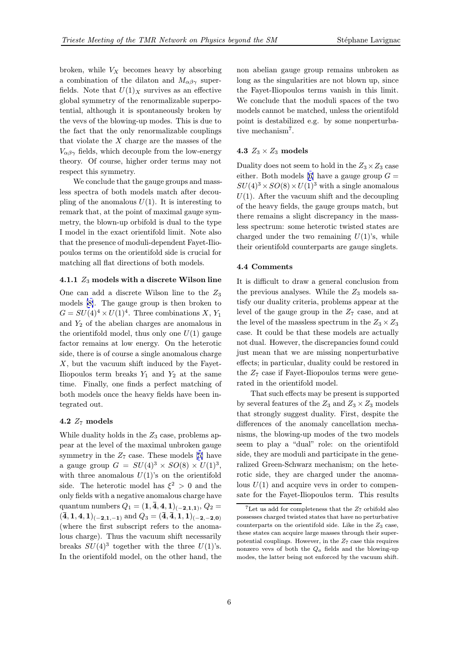broken, while  $V_X$  becomes heavy by absorbing a combination of the dilaton and  $M_{\alpha\beta\gamma}$  superfields. Note that  $U(1)_X$  survives as an effective global symmetry of the renormalizable superpotential, although it is spontaneously broken by the vevs of the blowing-up modes. This is due to the fact that the only renormalizable couplings that violate the  $X$  charge are the masses of the  $V_{\alpha\beta\gamma}$  fields, which decouple from the low-energy theory. Of course, higher order terms may not respect this symmetry.

We conclude that the gauge groups and massless spectra of both models match after decoupling of the anomalous  $U(1)$ . It is interesting to remark that, at the point of maximal gauge symmetry, the blown-up orbifold is dual to the type I model in the exact orientifold limit. Note also that the presence of moduli-dependent Fayet-Iliopoulos terms on the orientifold side is crucial for matching all flat directions of both models.

#### 4.1.1  $Z_3$  models with a discrete Wilson line

One can add a discrete Wilson line to the  $Z_3$ models [8]. The gauge group is then broken to  $G = SU(4)^4 \times U(1)^4$ . Three combinations X, Y<sub>1</sub> and  $Y_2$  of the abelian charges are anomalous in the orientifold model, thus only one  $U(1)$  gauge factor r[em](#page-6-0)ains at low energy. On the heterotic side, there is of course a single anomalous charge X, but the vacuum shift induced by the Fayet-Iliopoulos term breaks  $Y_1$  and  $Y_2$  at the same time. Finally, one finds a perfect matching of both models once the heavy fields have been integrated out.

#### 4.2  $Z_7$  models

While duality holds in the  $Z_3$  case, problems appear at the level of the maximal unbroken gauge symmetry in the  $Z_7$  case. These models [5] have a gauge group  $G = SU(4)^3 \times SO(8) \times U(1)^3$ , with three anomalous  $U(1)$ 's on the orientifold side. The heterotic model has  $\xi^2 > 0$  and the only fields with a negative anomalous char[ge](#page-6-0) have quantum numbers  $Q_1 = (1, \bar{4}, 4, 1)_{(-2,1,1)}$ ,  $Q_2 =$  $(\bar{4}, 1, 4, 1)_{(-2,1,-1)}$  and  $Q_3 = (\bar{4}, \bar{4}, 1, 1)_{(-2,-2,0)}$ (where the first subscript refers to the anomalous charge). Thus the vacuum shift necessarily breaks  $SU(4)^3$  together with the three  $U(1)$ 's. In the orientifold model, on the other hand, the non abelian gauge group remains unbroken as long as the singularities are not blown up, since the Fayet-Iliopoulos terms vanish in this limit. We conclude that the moduli spaces of the two models cannot be matched, unless the orientifold point is destabilized e.g. by some nonperturbative mechanism<sup>7</sup>.

#### 4.3  $Z_3 \times Z_3$  models

Duality does not seem to hold in the  $Z_3 \times Z_3$  case either. Both models [6] have a gauge group  $G =$  $SU(4)^3 \times SO(8) \times U(1)^3$  with a single anomalous  $U(1)$ . After the vacuum shift and the decoupling of the heavy fields, the gauge groups match, but there remains a sligh[t](#page-6-0) discrepancy in the massless spectrum: some heterotic twisted states are charged under the two remaining  $U(1)$ 's, while their orientifold counterparts are gauge singlets.

#### 4.4 Comments

It is difficult to draw a general conclusion from the previous analyses. While the  $Z_3$  models satisfy our duality criteria, problems appear at the level of the gauge group in the  $Z_7$  case, and at the level of the massless spectrum in the  $Z_3 \times Z_3$ case. It could be that these models are actually not dual. However, the discrepancies found could just mean that we are missing nonperturbative effects; in particular, duality could be restored in the  $Z_7$  case if Fayet-Iliopoulos terms were generated in the orientifold model.

That such effects may be present is supported by several features of the  $Z_3$  and  $Z_3 \times Z_3$  models that strongly suggest duality. First, despite the differences of the anomaly cancellation mechanisms, the blowing-up modes of the two models seem to play a "dual" role: on the orientifold side, they are moduli and participate in the generalized Green-Schwarz mechanism; on the heterotic side, they are charged under the anomalous  $U(1)$  and acquire vevs in order to compensate for the Fayet-Iliopoulos term. This results

<sup>&</sup>lt;sup>7</sup>Let us add for completeness that the  $Z_7$  orbifold also possesses charged twisted states that have no perturbative counterparts on the orientifold side. Like in the  $Z_3$  case, these states can acquire large masses through their superpotential couplings. However, in the  $Z_7$  case this requires nonzero vevs of both the  $Q_a$  fields and the blowing-up modes, the latter being not enforced by the vacuum shift.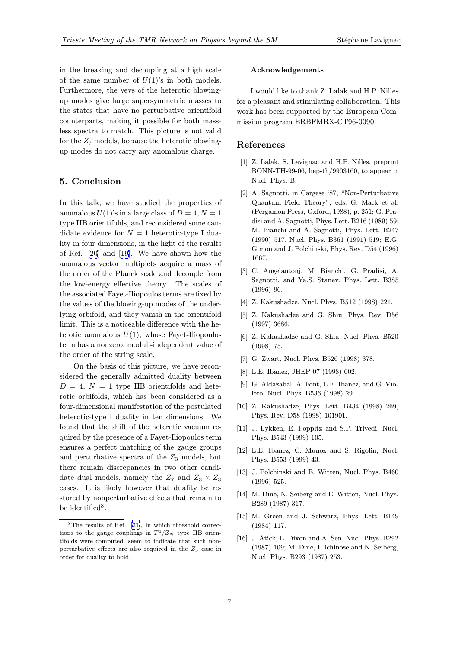<span id="page-6-0"></span>in the breaking and decoupling at a high scale of the same number of  $U(1)$ 's in both models. Furthermore, the vevs of the heterotic blowingup modes give large supersymmetric masses to the states that have no perturbative orientifold counterparts, making it possible for both massless spectra to match. This picture is not valid for the  $Z_7$  models, because the heterotic blowingup modes do not carry any anomalous charge.

## 5. Conclusion

In this talk, we have studied the properties of anomalous  $U(1)$ 's in a large class of  $D = 4, N = 1$ type IIB orientifolds, and reconsidered some candidate evidence for  $N = 1$  heterotic-type I duality in four dimensions, in the light of the results of Ref. [20] and [19]. We have shown how the anomalous vector multiplets acquire a mass of the order of the Planck scale and decouple from the low-energy effective theory. The scales of the assoc[iat](#page-7-0)ed Fay[et-](#page-7-0)Iliopoulos terms are fixed by the values of the blowing-up modes of the underlying orbifold, and they vanish in the orientifold limit. This is a noticeable difference with the heterotic anomalous  $U(1)$ , whose Fayet-Iliopoulos term has a nonzero, moduli-independent value of the order of the string scale.

On the basis of this picture, we have reconsidered the generally admitted duality between  $D = 4$ ,  $N = 1$  type IIB orientifolds and heterotic orbifolds, which has been considered as a four-dimensional manifestation of the postulated heterotic-type I duality in ten dimensions. We found that the shift of the heterotic vacuum required by the presence of a Fayet-Iliopoulos term ensures a perfect matching of the gauge groups and perturbative spectra of the  $Z_3$  models, but there remain discrepancies in two other candidate dual models, namely the  $Z_7$  and  $Z_3 \times Z_3$ cases. It is likely however that duality be restored by nonperturbative effects that remain to be identified<sup>8</sup>.

#### Acknowledgements

I would like to thank Z. Lalak and H.P. Nilles for a pleasant and stimulating collaboration. This work has been supported by the European Commission program ERBFMRX-CT96-0090.

## References

- [1] Z. Lalak, S. Lavignac and H.P. Nilles, preprint BONN-TH-99-06, hep-th/9903160, to appear in Nucl. Phys. B.
- [2] A. Sagnotti, in Cargese '87, "Non-Perturbative Quantum Field Theory", eds. G. Mack et al. (Pergamon Press, Oxford, 1988), p. 251; G. Pradisi and A. Sagnotti, Phys. Lett. B216 (1989) 59; M. Bianchi and A. Sagnotti, Phys. Lett. B247 (1990) 517, Nucl. Phys. B361 (1991) 519; E.G. Gimon and J. Polchinski, Phys. Rev. D54 (1996) 1667.
- [3] C. Angelantonj, M. Bianchi, G. Pradisi, A. Sagnotti, and Ya.S. Stanev, Phys. Lett. B385 (1996) 96.
- [4] Z. Kakushadze, Nucl. Phys. B512 (1998) 221.
- [5] Z. Kakushadze and G. Shiu, Phys. Rev. D56 (1997) 3686.
- [6] Z. Kakushadze and G. Shiu, Nucl. Phys. B520 (1998) 75.
- [7] G. Zwart, Nucl. Phys. B526 (1998) 378.
- [8] L.E. Ibanez, JHEP 07 (1998) 002.
- [9] G. Aldazabal, A. Font, L.E. Ibanez, and G. Violero, Nucl. Phys. B536 (1998) 29.
- [10] Z. Kakushadze, Phys. Lett. B434 (1998) 269, Phys. Rev. D58 (1998) 101901.
- [11] J. Lykken, E. Poppitz and S.P. Trivedi, Nucl. Phys. B543 (1999) 105.
- [12] L.E. Ibanez, C. Munoz and S. Rigolin, Nucl. Phys. B553 (1999) 43.
- [13] J. Polchinski and E. Witten, Nucl. Phys. B460 (1996) 525.
- [14] M. Dine, N. Seiberg and E. Witten, Nucl. Phys. B289 (1987) 317.
- [15] M. Green and J. Schwarz, Phys. Lett. B149 (1984) 117.
- [16] J. Atick, L. Dixon and A. Sen, Nucl. Phys. B292 (1987) 109; M. Dine, I. Ichinose and N. Seiberg, Nucl. Phys. B293 (1987) 253.

<sup>8</sup>The results of Ref. [21], in which threshold corrections to the gauge couplings in  $T^6/Z_N$  type IIB orientifolds were computed, seem to indicate that such nonperturbative effects are also required in the  $Z_3$  case in order for duality to hold.